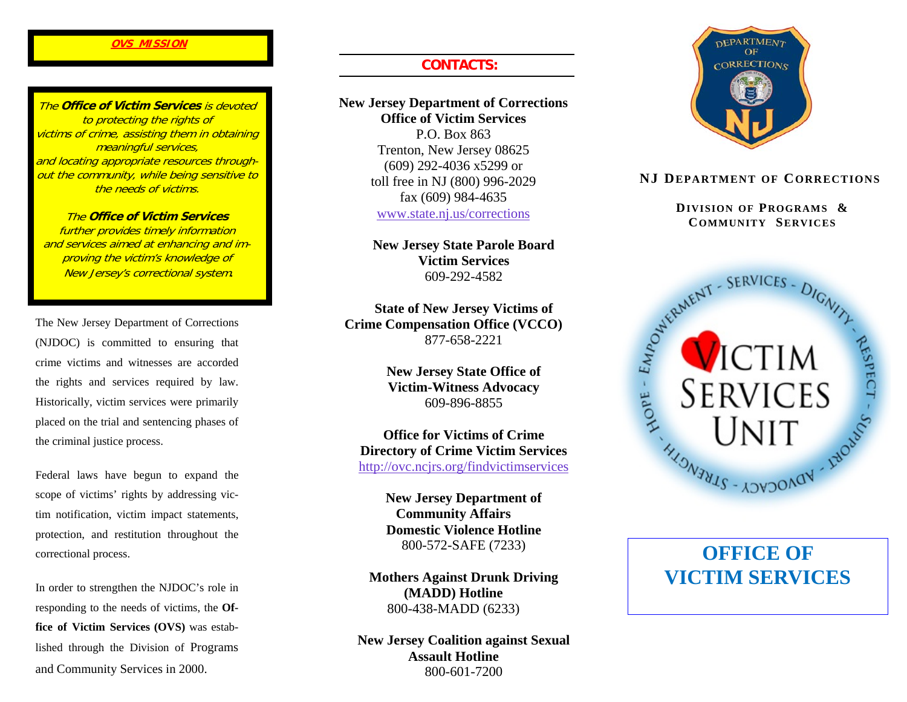#### **OVS MISSION**

The **Office of Victim Services** is devoted to protecting the rights of victims of crime, assisting them in obtaining meaningful services, and locating appropriate resources throughout the community, while being sensitive to the needs of victims.

The **Office of Victim Services** further provides timely information and services aimed at enhancing and improving the victim's knowledge of New Jersey's correctional system.

The New Jersey Department of Corrections (NJDOC) is committed to ensuring that crime victims and witnesses are accorded the rights and services required by law. Historically, victim services were primarily placed on the trial and sentencing phases of the criminal justice process.

Federal laws have begun to expand the scope of victims' rights by addressing victim notification, victim impact statements, protection, and restitution throughout the correctional process.

In order to strengthen the NJDOC's role in responding to the needs of victims, the **Office of Victim Services (OVS)** was established through the Division of Programs and Community Services in 2000.

## **CONTACTS:**

#### **New Jersey Department of Corrections Office of Victim Services**

P.O. Box 863 Trenton, New Jersey 08625 (609) 292-4036 x5299 or toll free in NJ (800) 996-2029 fax (609) 984-4635 www.state.nj.us/corrections

 **New Jersey State Parole Board Victim Services** 609-292-4582

**State of New Jersey Victims of Crime Compensation Office (VCCO)**  877-658-2221

> **New Jersey State Office of Victim-Witness Advocacy**  609-896-8855

**Office for Victims of Crime Directory of Crime Victim Services**  http://ovc.ncjrs.org/findvictimservices

> **New Jersey Department of Community Affairs Domestic Violence Hotline** 800-572-SAFE (7233)

**Mothers Against Drunk Driving (MADD) Hotline**  800-438-MADD (6233)

**New Jersey Coalition against Sexual Assault Hotline** 800-601-7200



#### **NJ DEPARTMENT OF CORRECTIONS**

 **DIVISION OF PROGRAMS & COMMUNITY SERVICES**



# **OFFICE OF VICTIM SERVICES**